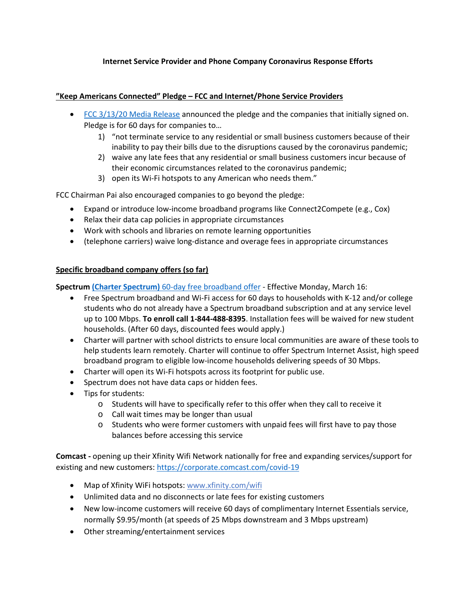## **Internet Service Provider and Phone Company Coronavirus Response Efforts**

## **"Keep Americans Connected" Pledge – FCC and Internet/Phone Service Providers**

- [FCC 3/13/20 Media Release](https://docs.fcc.gov/public/attachments/DOC-363033A1.pdf) announced the pledge and the companies that initially signed on. Pledge is for 60 days for companies to…
	- 1) "not terminate service to any residential or small business customers because of their inability to pay their bills due to the disruptions caused by the coronavirus pandemic;
	- 2) waive any late fees that any residential or small business customers incur because of their economic circumstances related to the coronavirus pandemic;
	- 3) open its Wi-Fi hotspots to any American who needs them."

FCC Chairman Pai also encouraged companies to go beyond the pledge:

- Expand or introduce low-income broadband programs like Connect2Compete (e.g., Cox)
- Relax their data cap policies in appropriate circumstances
- Work with schools and libraries on remote learning opportunities
- (telephone carriers) waive long-distance and overage fees in appropriate circumstances

## **Specific broadband company offers (so far)**

**Spectrum (Charter Spectrum)** [60-day free broadband offer](https://corporate.charter.com/newsroom/charter-to-offer-free-access-to-spectrum-broadband-and-wifi-for-60-days-for-new-K12-and-college-student-households-and-more) - Effective Monday, March 16:

- Free Spectrum broadband and Wi-Fi access for 60 days to households with K-12 and/or college students who do not already have a Spectrum broadband subscription and at any service level up to 100 Mbps. **To enroll call 1-844-488-8395**. Installation fees will be waived for new student households. (After 60 days, discounted fees would apply.)
- Charter will partner with school districts to ensure local communities are aware of these tools to help students learn remotely. Charter will continue to offer Spectrum Internet Assist, high speed broadband program to eligible low-income households delivering speeds of 30 Mbps.
- Charter will open its Wi-Fi hotspots across its footprint for public use.
- Spectrum does not have data caps or hidden fees.
- Tips for students:
	- o Students will have to specifically refer to this offer when they call to receive it
	- o Call wait times may be longer than usual
	- $\circ$  Students who were former customers with unpaid fees will first have to pay those balances before accessing this service

**Comcast -** opening up their Xfinity Wifi Network nationally for free and expanding services/support for existing and new customers[: https://corporate.comcast.com/covid-19](https://nam02.safelinks.protection.outlook.com/?url=https%3A%2F%2Fcorporate.comcast.com%2Fcovid-19&data=02%7C01%7Cbacona%40nccommunitycolleges.edu%7C2952354b79754a1efc4d08d7c9aa8703%7C616f6b2af8af4525b6c8f74c6a2b182d%7C0%7C0%7C637199606575236466&sdata=cCJRZzVb1TFs2%2FUfeQCwZvRPrk1tPq%2FBbX5TsvkmhW4%3D&reserved=0)

- Map of Xfinity WiFi hotspots[: www.xfinity.com/wifi](http://www.xfinity.com/wifi)
- Unlimited data and no disconnects or late fees for existing customers
- New low-income customers will receive 60 days of complimentary Internet Essentials service, normally \$9.95/month (at speeds of 25 Mbps downstream and 3 Mbps upstream)
- Other streaming/entertainment services